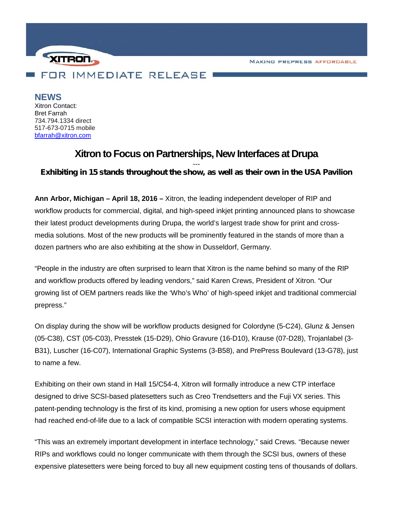MAKING PREPRESS AFFORDABLE



**NEWS** Xitron Contact: Bret Farrah 734.794.1334 direct 517-673-0715 mobile bfarrah@xitron.com

## **Xitron to Focus on Partnerships, New Interfaces at Drupa**

## *--- Exhibiting in 15 stands throughout the show, as well as their own in the USA Pavilion*

**Ann Arbor, Michigan – April 18, 2016 –** Xitron, the leading independent developer of RIP and workflow products for commercial, digital, and high-speed inkjet printing announced plans to showcase their latest product developments during Drupa, the world's largest trade show for print and cross media solutions. Most of the new products will be prominently featured in the stands of more than a dozen partners who are also exhibiting at the show in Dusseldorf, Germany.

"People in the industry are often surprised to learn that Xitron is the name behind so many of the RIP and workflow products offered by leading vendors," said Karen Crews, President of Xitron. "Our growing list of OEM partners reads like the 'Who's Who' of high-speed inkjet and traditional commercial prepress."

On display during the show will be workflow products designed for Colordyne (5-C24), Glunz & Jensen (05-C38), CST (05-C03), Presstek (15-D29), Ohio Gravure (16-D10), Krause (07-D28), Trojanlabel (3- B31), Luscher (16-C07), International Graphic Systems (3-B58), and PrePress Boulevard (13-G78), just to name a few.

Exhibiting on their own stand in Hall 15/C54-4, Xitron will formally introduce a new CTP interface designed to drive SCSI-based platesetters such as Creo Trendsetters and the Fuji VX series. This patent-pending technology is the first of its kind, promising a new option for users whose equipment had reached end-of-life due to a lack of compatible SCSI interaction with modern operating systems.

"This was an extremely important development in interface technology," said Crews. "Because newer RIPs and workflows could no longer communicate with them through the SCSI bus, owners of these expensive platesetters were being forced to buy all new equipment costing tens of thousands of dollars.